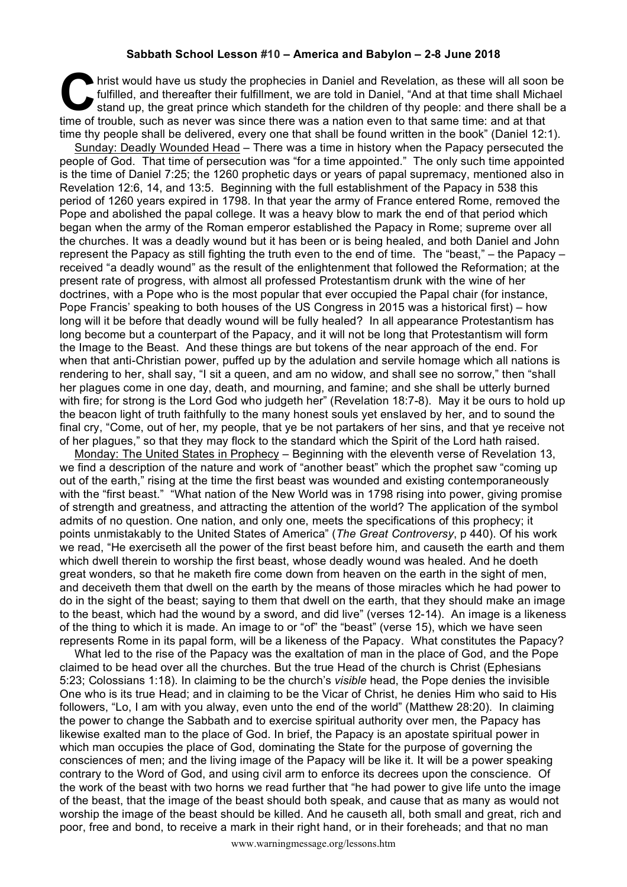## **Sabbath School Lesson #10 – America and Babylon – 2-8 June 2018**

hrist would have us study the prophecies in Daniel and Revelation, as these will all soon be fulfilled, and thereafter their fulfillment, we are told in Daniel, "And at that time shall Michael stand up, the great prince which standeth for the children of thy people: and there shall be a hrist would have us study the prophecies in Daniel and Revelation, as these will all soon fulfilled, and thereafter their fulfillment, we are told in Daniel, "And at that time shall Michistand up, the great prince which st time thy people shall be delivered, every one that shall be found written in the book" (Daniel 12:1).

Sunday: Deadly Wounded Head – There was a time in history when the Papacy persecuted the people of God. That time of persecution was "for a time appointed." The only such time appointed is the time of Daniel 7:25; the 1260 prophetic days or years of papal supremacy, mentioned also in Revelation 12:6, 14, and 13:5. Beginning with the full establishment of the Papacy in 538 this period of 1260 years expired in 1798. In that year the army of France entered Rome, removed the Pope and abolished the papal college. It was a heavy blow to mark the end of that period which began when the army of the Roman emperor established the Papacy in Rome; supreme over all the churches. It was a deadly wound but it has been or is being healed, and both Daniel and John represent the Papacy as still fighting the truth even to the end of time. The "beast," – the Papacy – received "a deadly wound" as the result of the enlightenment that followed the Reformation; at the present rate of progress, with almost all professed Protestantism drunk with the wine of her doctrines, with a Pope who is the most popular that ever occupied the Papal chair (for instance, Pope Francis' speaking to both houses of the US Congress in 2015 was a historical first) – how long will it be before that deadly wound will be fully healed? In all appearance Protestantism has long become but a counterpart of the Papacy, and it will not be long that Protestantism will form the Image to the Beast. And these things are but tokens of the near approach of the end. For when that anti-Christian power, puffed up by the adulation and servile homage which all nations is rendering to her, shall say, "I sit a queen, and am no widow, and shall see no sorrow," then "shall her plagues come in one day, death, and mourning, and famine; and she shall be utterly burned with fire; for strong is the Lord God who judgeth her" (Revelation 18:7-8). May it be ours to hold up the beacon light of truth faithfully to the many honest souls yet enslaved by her, and to sound the final cry, "Come, out of her, my people, that ye be not partakers of her sins, and that ye receive not of her plagues," so that they may flock to the standard which the Spirit of the Lord hath raised.

Monday: The United States in Prophecy – Beginning with the eleventh verse of Revelation 13, we find a description of the nature and work of "another beast" which the prophet saw "coming up out of the earth," rising at the time the first beast was wounded and existing contemporaneously with the "first beast." "What nation of the New World was in 1798 rising into power, giving promise of strength and greatness, and attracting the attention of the world? The application of the symbol admits of no question. One nation, and only one, meets the specifications of this prophecy; it points unmistakably to the United States of America" (*The Great Controversy*, p 440). Of his work we read, "He exerciseth all the power of the first beast before him, and causeth the earth and them which dwell therein to worship the first beast, whose deadly wound was healed. And he doeth great wonders, so that he maketh fire come down from heaven on the earth in the sight of men, and deceiveth them that dwell on the earth by the means of those miracles which he had power to do in the sight of the beast; saying to them that dwell on the earth, that they should make an image to the beast, which had the wound by a sword, and did live" (verses 12-14). An image is a likeness of the thing to which it is made. An image to or "of" the "beast" (verse 15), which we have seen represents Rome in its papal form, will be a likeness of the Papacy. What constitutes the Papacy?

What led to the rise of the Papacy was the exaltation of man in the place of God, and the Pope claimed to be head over all the churches. But the true Head of the church is Christ (Ephesians 5:23; Colossians 1:18). In claiming to be the church's *visible* head, the Pope denies the invisible One who is its true Head; and in claiming to be the Vicar of Christ, he denies Him who said to His followers, "Lo, I am with you alway, even unto the end of the world" (Matthew 28:20). In claiming the power to change the Sabbath and to exercise spiritual authority over men, the Papacy has likewise exalted man to the place of God. In brief, the Papacy is an apostate spiritual power in which man occupies the place of God, dominating the State for the purpose of governing the consciences of men; and the living image of the Papacy will be like it. It will be a power speaking contrary to the Word of God, and using civil arm to enforce its decrees upon the conscience. Of the work of the beast with two horns we read further that "he had power to give life unto the image of the beast, that the image of the beast should both speak, and cause that as many as would not worship the image of the beast should be killed. And he causeth all, both small and great, rich and poor, free and bond, to receive a mark in their right hand, or in their foreheads; and that no man